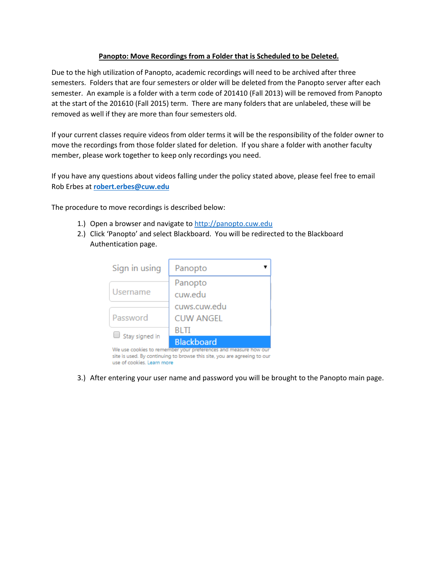## **Panopto: Move Recordings from a Folder that is Scheduled to be Deleted.**

Due to the high utilization of Panopto, academic recordings will need to be archived after three semesters. Folders that are four semesters or older will be deleted from the Panopto server after each semester. An example is a folder with a term code of 201410 (Fall 2013) will be removed from Panopto at the start of the 201610 (Fall 2015) term. There are many folders that are unlabeled, these will be removed as well if they are more than four semesters old.

If your current classes require videos from older terms it will be the responsibility of the folder owner to move the recordings from those folder slated for deletion. If you share a folder with another faculty member, please work together to keep only recordings you need.

If you have any questions about videos falling under the policy stated above, please feel free to email Rob Erbes at **[robert.erbes@cuw.edu](mailto:robert.erbes@cuw.edu)**

The procedure to move recordings is described below:

- 1.) Open a browser and navigate to [http://panopto.cuw.edu](http://panopto.cuw.edu/)
- 2.) Click 'Panopto' and select Blackboard. You will be redirected to the Blackboard Authentication page.



3.) After entering your user name and password you will be brought to the Panopto main page.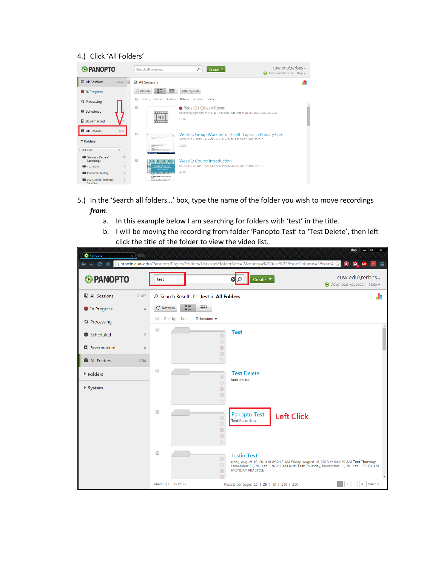## 4.) Click 'All Folders'

| <b>B</b> PANOPTO                         |                              | Search all sessions                                                                | cuw.edu\rerbes -<br>۹<br>Create $\blacktriangledown$<br>Download Recorder Help -                       |
|------------------------------------------|------------------------------|------------------------------------------------------------------------------------|--------------------------------------------------------------------------------------------------------|
| ▣<br><b>All Sessions</b>                 | $\overline{a}$<br>п<br>20187 | <b>回 All Sessions</b>                                                              |                                                                                                        |
| <b>O</b> In Progress                     | $\Delta$                     | $=$<br>壨<br>$C$ Refresh<br>$m = 1$                                                 | Filter by date                                                                                         |
| <b>()</b> Processing                     |                              | Sort by: Name<br><b>Duration</b>                                                   | Location<br>Rating<br>Date $\blacktriangleright$                                                       |
| Scheduled                                |                              | □<br>.                                                                             | ● Peds GU Coleen Rosen<br>Recording right now in FNP III - Adv Clin Nurs Prac MSN 853 DLC 31750-201530 |
| Bookmarked<br>o.                         |                              | $\blacksquare$ (1)<br><b>11111111</b>                                              | 13:07                                                                                                  |
| <b>a</b> All Folders                     | 1250                         | ∩                                                                                  | Week 1: Group Work Intro: Health Topics in Primary Care                                                |
| $\overline{\phantom{a}}$ Folders         |                              |                                                                                    | 8/27/2015 in FNP I - Adv Clin Nurs Prac MSN 851 DLC 11606-201510<br>16:20                              |
| All Folders                              | ÷                            | <b>START</b>                                                                       |                                                                                                        |
| <b>Exercise Sector</b><br>Recordings     | 10                           | ⋒<br><b>TAILER STAINERS</b>                                                        | Week 1: Course Introduction                                                                            |
| <b>E</b> #panopto                        | 6                            | <b>CORDIA UNIVERSIT</b><br><b>WISCONSIN</b>                                        | 8/27/2015 in FNP I - Adv Clin Nurs Prac MSN 851 DLC 11606-201510                                       |
| <b>Panopto Testing</b>                   | $\mathbf{0}$                 | <b>STANZA AN AN AN AN AREA</b>                                                     | 47:03                                                                                                  |
| 001 Clinical Pharmacy<br><b>Services</b> | 3                            | Dr. Jennie Peters: Instructor far section<br>Dr. MAN Campagna: Indicator for group |                                                                                                        |

- 5.) In the 'Search all folders…' box, type the name of the folder you wish to move recordings *from*.
	- a. In this example below I am searching for folders with 'test' in the title.
	- b. I will be moving the recording from folder 'Panopto Test' to 'Test Delete', then left click the title of the folder to view the video list.

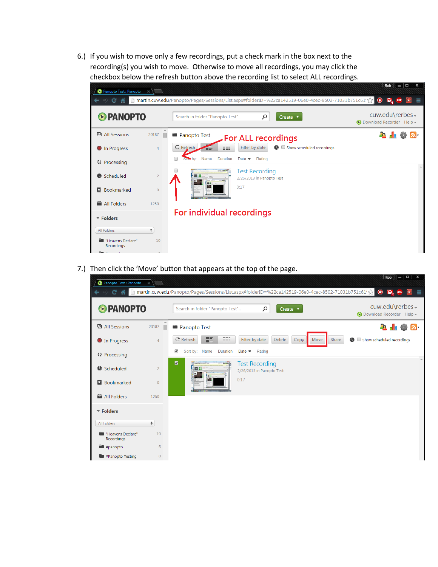6.) If you wish to move only a few recordings, put a check mark in the box next to the recording(s) you wish to move. Otherwise to move all recordings, you may click the checkbox below the refresh button above the recording list to select ALL recordings.



7.) Then click the 'Move' button that appears at the top of the page.

| <sup>2</sup> Panopto Test : Panopto                                                                                                                                                |                                                                                                   | $ Rob  =  D  \times$                         |  |  |  |  |  |  |
|------------------------------------------------------------------------------------------------------------------------------------------------------------------------------------|---------------------------------------------------------------------------------------------------|----------------------------------------------|--|--|--|--|--|--|
| $\Box$ martin.cuw.edu/Panopto/Pages/Sessions/List.aspx#folderID=%22ca142519-06e0-4cec-8502-71031b751c61' $\Im$<br>$\bullet$<br>← ⇒ C ñ<br>M,<br><b>ABP</b><br>$\Omega$<br>$\equiv$ |                                                                                                   |                                              |  |  |  |  |  |  |
| <b>B</b> PANOPTO                                                                                                                                                                   | م<br>Search in folder "Panopto Test"<br>Create $\blacktriangledown$                               | cuw.edu\rerbes -<br>Download Recorder Help - |  |  |  |  |  |  |
| <b>四 All Sessions</b><br>20187                                                                                                                                                     | <b>Panopto Test</b>                                                                               | 20,<br>O N.                                  |  |  |  |  |  |  |
| <b>O</b> In Progress<br>4                                                                                                                                                          | $=$<br>壨<br>$C$ Refresh<br>Filter by date<br>Delete<br>Share<br>Copy<br>Move<br>õ=.               | $\bigcirc$ $\Box$ Show scheduled recordings  |  |  |  |  |  |  |
| <b>()</b> Processing                                                                                                                                                               | Sort by: Name<br>Duration<br>$\overline{\mathscr{L}}$<br>Date $\blacktriangledown$<br>Rating      |                                              |  |  |  |  |  |  |
| Scheduled<br>$\overline{2}$                                                                                                                                                        | $\overline{a}$<br><b>Test Recording</b><br><b>STOL PAN PTO</b><br>EН<br>2/26/2013 in Panopto Test |                                              |  |  |  |  |  |  |
| <b>El</b> Bookmarked<br>$\mathbf{0}$                                                                                                                                               | 0:17                                                                                              |                                              |  |  |  |  |  |  |
| all Folders<br>1250                                                                                                                                                                |                                                                                                   |                                              |  |  |  |  |  |  |
| $\overline{\phantom{a}}$ Folders                                                                                                                                                   |                                                                                                   |                                              |  |  |  |  |  |  |
| ÷<br>All Folders                                                                                                                                                                   |                                                                                                   |                                              |  |  |  |  |  |  |
| <b>THE "Heavens Declare"</b><br>10<br>Recordings                                                                                                                                   |                                                                                                   |                                              |  |  |  |  |  |  |
| <b>E</b> #panopto<br>6                                                                                                                                                             |                                                                                                   |                                              |  |  |  |  |  |  |
| #Panopto Testing<br>$\mathbf{0}$                                                                                                                                                   |                                                                                                   |                                              |  |  |  |  |  |  |